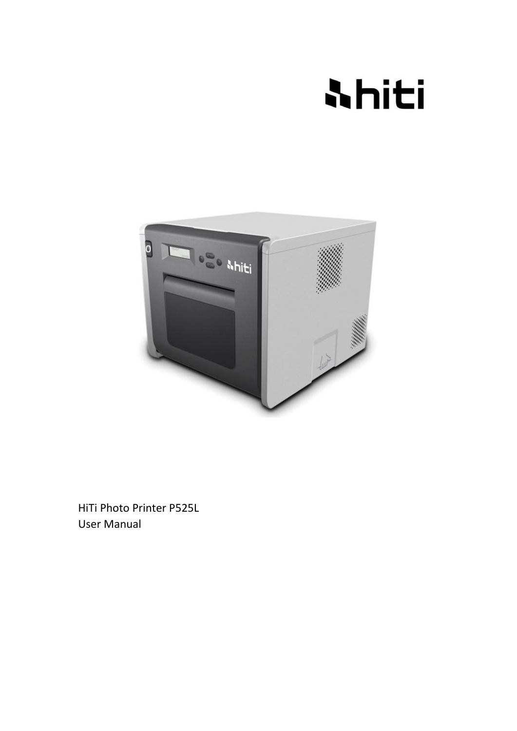# **Ahiti**



HiTi Photo Printer P525L User Manual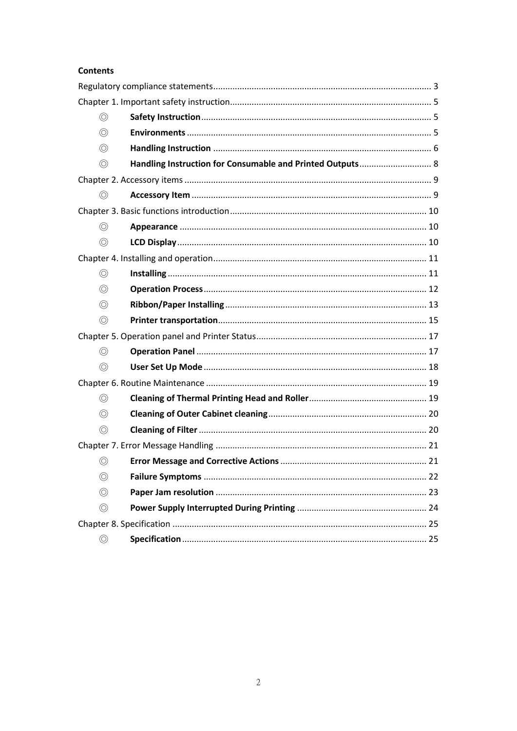#### **Contents**

| $\circledcirc$ |                                                           |  |
|----------------|-----------------------------------------------------------|--|
| $\circledcirc$ |                                                           |  |
| $\circledcirc$ |                                                           |  |
| $\circledcirc$ | Handling Instruction for Consumable and Printed Outputs 8 |  |
|                |                                                           |  |
| $\circledcirc$ |                                                           |  |
|                |                                                           |  |
| $\circledcirc$ |                                                           |  |
| $\circledcirc$ |                                                           |  |
|                |                                                           |  |
| $\circledcirc$ |                                                           |  |
| $\circledcirc$ |                                                           |  |
| $\circledcirc$ |                                                           |  |
| $\circledcirc$ |                                                           |  |
|                |                                                           |  |
| $\circledcirc$ |                                                           |  |
| $\circledcirc$ |                                                           |  |
|                |                                                           |  |
| $\circledcirc$ |                                                           |  |
| $\circledcirc$ |                                                           |  |
| $\circledcirc$ |                                                           |  |
|                |                                                           |  |
| $\circledcirc$ |                                                           |  |
| $\circledcirc$ |                                                           |  |
| $\circledcirc$ |                                                           |  |
| $\circledcirc$ |                                                           |  |
|                |                                                           |  |
|                |                                                           |  |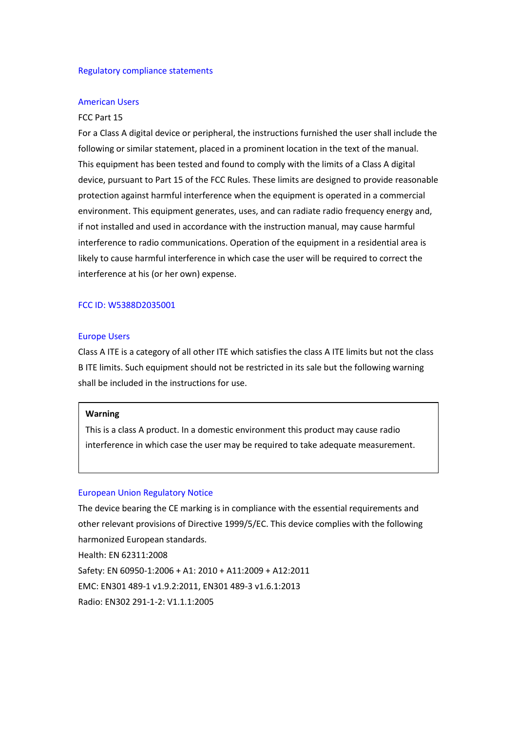#### <span id="page-2-0"></span>Regulatory compliance statements

#### American Users

#### FCC Part 15

For a Class A digital device or peripheral, the instructions furnished the user shall include the following or similar statement, placed in a prominent location in the text of the manual. This equipment has been tested and found to comply with the limits of a Class A digital device, pursuant to Part 15 of the FCC Rules. These limits are designed to provide reasonable protection against harmful interference when the equipment is operated in a commercial environment. This equipment generates, uses, and can radiate radio frequency energy and, if not installed and used in accordance with the instruction manual, may cause harmful interference to radio communications. Operation of the equipment in a residential area is likely to cause harmful interference in which case the user will be required to correct the interference at his (or her own) expense.

#### FCC ID: W5388D2035001

#### Europe Users

Class A ITE is a category of all other ITE which satisfies the class A ITE limits but not the class B ITE limits. Such equipment should not be restricted in its sale but the following warning shall be included in the instructions for use.

#### **Warning**

This is a class A product. In a domestic environment this product may cause radio interference in which case the user may be required to take adequate measurement.

#### European Union Regulatory Notice

The device bearing the CE marking is in compliance with the essential requirements and other relevant provisions of Directive 1999/5/EC. This device complies with the following harmonized European standards.

Health: EN 62311:2008 Safety: EN 60950-1:2006 + A1: 2010 + A11:2009 + A12:2011 EMC: EN301 489-1 v1.9.2:2011, EN301 489-3 v1.6.1:2013 Radio: EN302 291-1-2: V1.1.1:2005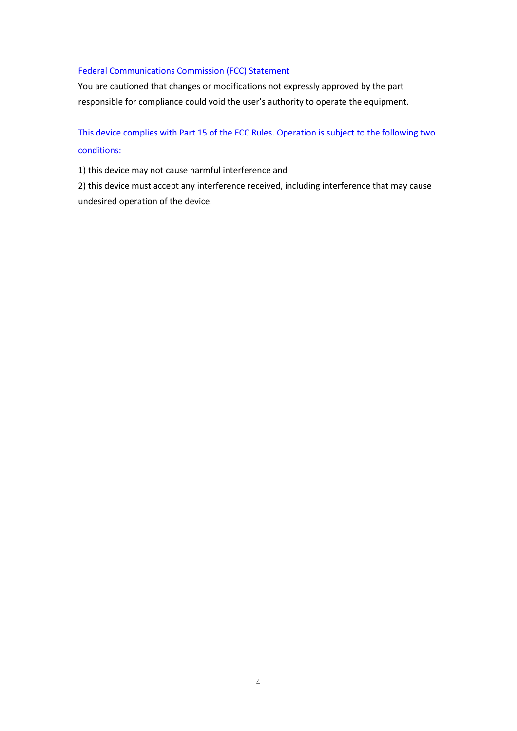#### Federal Communications Commission (FCC) Statement

You are cautioned that changes or modifications not expressly approved by the part responsible for compliance could void the user's authority to operate the equipment.

#### This device complies with Part 15 of the FCC Rules. Operation is subject to the following two

#### conditions:

1) this device may not cause harmful interference and

<span id="page-3-0"></span>2) this device must accept any interference received, including interference that may cause undesired operation of the device.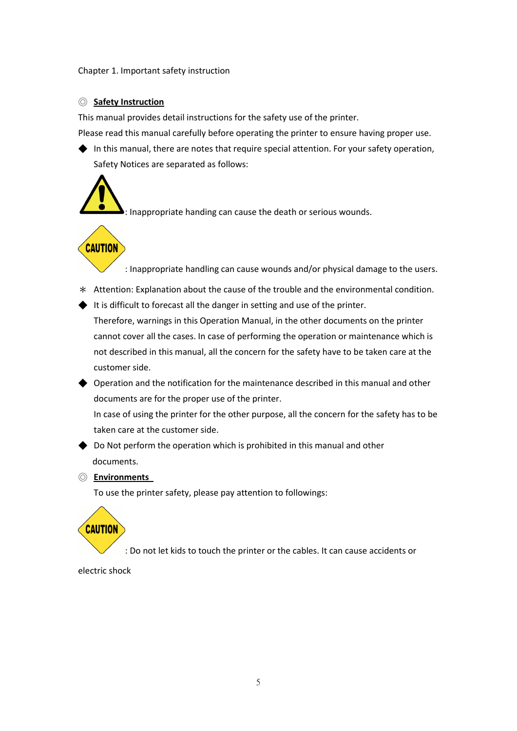Chapter 1. Important safety instruction

#### <span id="page-4-0"></span>◎ **Safety Instruction**

This manual provides detail instructions for the safety use of the printer.

Please read this manual carefully before operating the printer to ensure having proper use.

 $\blacklozenge$  In this manual, there are notes that require special attention. For your safety operation, Safety Notices are separated as follows:



: Inappropriate handing can cause the death or serious wounds.

### **CAUTION**

: Inappropriate handling can cause wounds and/or physical damage to the users.

- \* Attention: Explanation about the cause of the trouble and the environmental condition.
- ◆ It is difficult to forecast all the danger in setting and use of the printer.

Therefore, warnings in this Operation Manual, in the other documents on the printer cannot cover all the cases. In case of performing the operation or maintenance which is not described in this manual, all the concern for the safety have to be taken care at the customer side.

 $\blacklozenge$  Operation and the notification for the maintenance described in this manual and other documents are for the proper use of the printer.

In case of using the printer for the other purpose, all the concern for the safety has to be taken care at the customer side.

 $\rightarrow$  Do Not perform the operation which is prohibited in this manual and other documents.

#### <span id="page-4-1"></span>◎ **Environments**

To use the printer safety, please pay attention to followings:

## **CAUTION**

: Do not let kids to touch the printer or the cables. It can cause accidents or

electric shock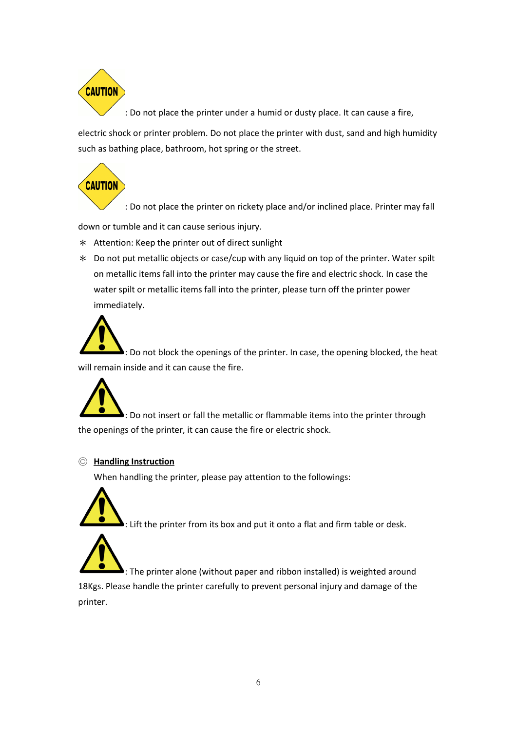

: Do not place the printer under a humid or dusty place. It can cause a fire,

electric shock or printer problem. Do not place the printer with dust, sand and high humidity such as bathing place, bathroom, hot spring or the street.

**CAUTION** 

: Do not place the printer on rickety place and/or inclined place. Printer may fall

down or tumble and it can cause serious injury.

- \* Attention: Keep the printer out of direct sunlight
- \* Do not put metallic objects or case/cup with any liquid on top of the printer. Water spilt on metallic items fall into the printer may cause the fire and electric shock. In case the water spilt or metallic items fall into the printer, please turn off the printer power immediately.

: Do not block the openings of the printer. In case, the opening blocked, the heat will remain inside and it can cause the fire.



#### <span id="page-5-0"></span>◎ **Handling Instruction**

When handling the printer, please pay attention to the followings:



 $\blacktriangleright$ : Lift the printer from its box and put it onto a flat and firm table or desk.

 $\blacktriangleright$ : The printer alone (without paper and ribbon installed) is weighted around 18Kgs. Please handle the printer carefully to prevent personal injury and damage of the printer.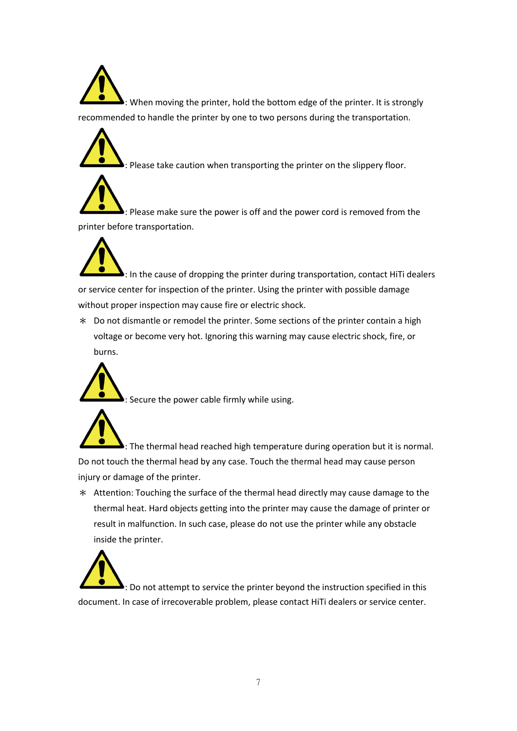$\blacktriangleright$ : When moving the printer, hold the bottom edge of the printer. It is strongly recommended to handle the printer by one to two persons during the transportation.



 $\blacktriangleright$ : Please take caution when transporting the printer on the slippery floor.

 $\blacktriangleright$ : Please make sure the power is off and the power cord is removed from the printer before transportation.

 $\blacktriangleright$ : In the cause of dropping the printer during transportation, contact HiTi dealers or service center for inspection of the printer. Using the printer with possible damage without proper inspection may cause fire or electric shock.

\* Do not dismantle or remodel the printer. Some sections of the printer contain a high voltage or become very hot. Ignoring this warning may cause electric shock, fire, or burns.



: Secure the power cable firmly while using.

: The thermal head reached high temperature during operation but it is normal. Do not touch the thermal head by any case. Touch the thermal head may cause person injury or damage of the printer.

\* Attention: Touching the surface of the thermal head directly may cause damage to the thermal heat. Hard objects getting into the printer may cause the damage of printer or result in malfunction. In such case, please do not use the printer while any obstacle inside the printer.



: Do not attempt to service the printer beyond the instruction specified in this document. In case of irrecoverable problem, please contact HiTi dealers or service center.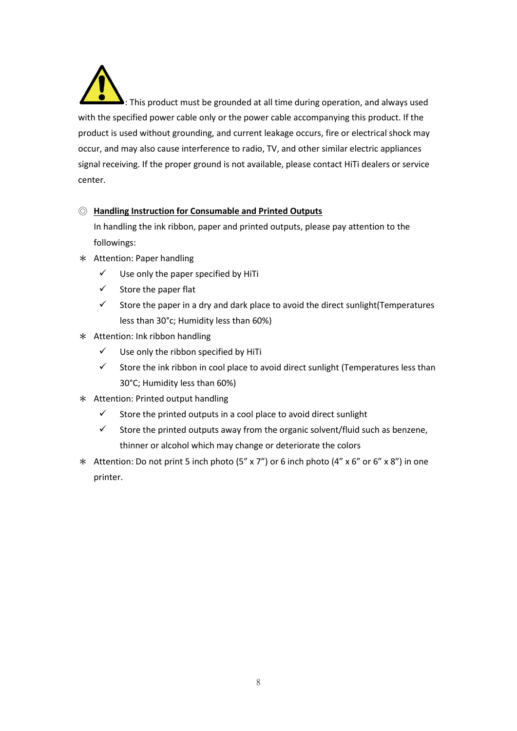$\blacktriangleright$ : This product must be grounded at all time during operation, and always used with the specified power cable only or the power cable accompanying this product. If the product is used without grounding, and current leakage occurs, fire or electrical shock may occur, and may also cause interference to radio, TV, and other similar electric appliances signal receiving. If the proper ground is not available, please contact HiTi dealers or service center.

#### <span id="page-7-0"></span>◎ **Handling Instruction for Consumable and Printed Outputs**

In handling the ink ribbon, paper and printed outputs, please pay attention to the followings:

- \* Attention: Paper handling
	- $\checkmark$  Use only the paper specified by HiTi
	- $\checkmark$  Store the paper flat
	- $\checkmark$  Store the paper in a dry and dark place to avoid the direct sunlight (Temperatures less than 30°c; Humidity less than 60%)
- \* Attention: Ink ribbon handling
	- $\checkmark$  Use only the ribbon specified by HiTi
	- $\checkmark$  Store the ink ribbon in cool place to avoid direct sunlight (Temperatures less than 30°C; Humidity less than 60%)
- \* Attention: Printed output handling
	- $\checkmark$  Store the printed outputs in a cool place to avoid direct sunlight
	- $\checkmark$  Store the printed outputs away from the organic solvent/fluid such as benzene, thinner or alcohol which may change or deteriorate the colors
- <span id="page-7-1"></span>\* Attention: Do not print 5 inch photo (5" x 7") or 6 inch photo (4" x 6" or 6" x 8") in one printer.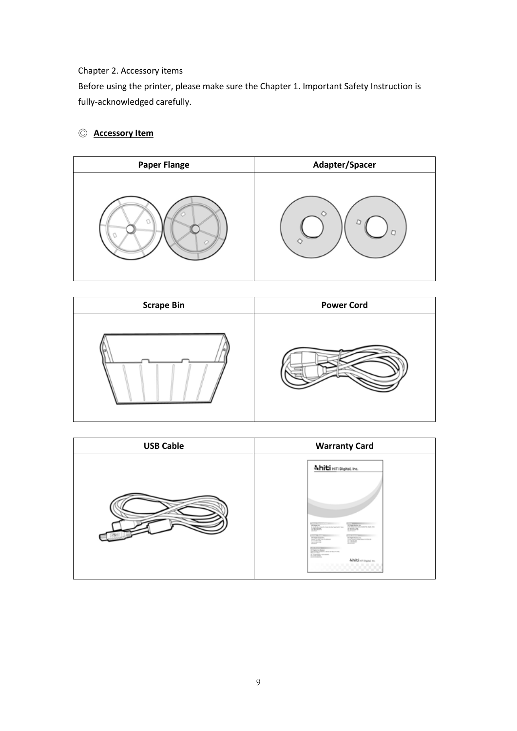#### Chapter 2. Accessory items

Before using the printer, please make sure the Chapter 1. Important Safety Instruction is fully-acknowledged carefully.

#### <span id="page-8-0"></span>◎ **Accessory Item**





<span id="page-8-1"></span>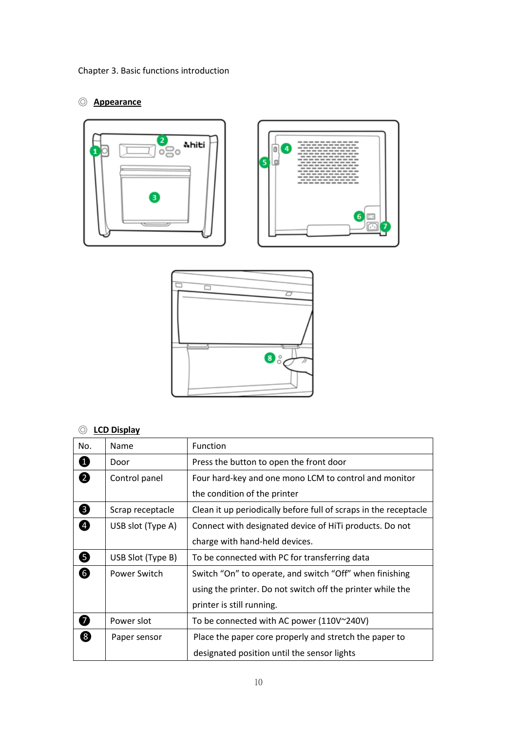#### <span id="page-9-0"></span>◎ **Appearance**





#### <span id="page-9-1"></span>◎ **LCD Display**

| No.                | Name              | <b>Function</b>                                                  |
|--------------------|-------------------|------------------------------------------------------------------|
| Ø                  | Door              | Press the button to open the front door                          |
| $\overline{2}$     | Control panel     | Four hard-key and one mono LCM to control and monitor            |
|                    |                   | the condition of the printer                                     |
| $\mathbf{3}$       | Scrap receptacle  | Clean it up periodically before full of scraps in the receptacle |
| 4                  | USB slot (Type A) | Connect with designated device of HiTi products. Do not          |
|                    |                   | charge with hand-held devices.                                   |
| 5                  | USB Slot (Type B) | To be connected with PC for transferring data                    |
| 6                  | Power Switch      | Switch "On" to operate, and switch "Off" when finishing          |
|                    |                   | using the printer. Do not switch off the printer while the       |
|                    |                   | printer is still running.                                        |
| $\overline{7}$     | Power slot        | To be connected with AC power (110V~240V)                        |
| $\left[ 8 \right]$ | Paper sensor      | Place the paper core properly and stretch the paper to           |
|                    |                   | designated position until the sensor lights                      |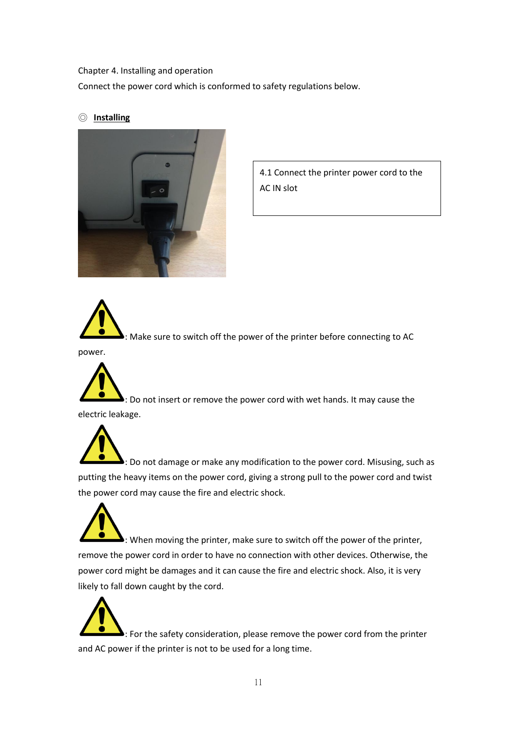#### <span id="page-10-0"></span>Chapter 4. Installing and operation

Connect the power cord which is conformed to safety regulations below.

#### <span id="page-10-1"></span>◎ **Installing**



4.1 Connect the printer power cord to the AC IN slot



 $\blacktriangleright$ : Make sure to switch off the power of the printer before connecting to AC

power.



: Do not insert or remove the power cord with wet hands. It may cause the electric leakage.

: Do not damage or make any modification to the power cord. Misusing, such as putting the heavy items on the power cord, giving a strong pull to the power cord and twist the power cord may cause the fire and electric shock.

 $\blacktriangleright$ : When moving the printer, make sure to switch off the power of the printer, remove the power cord in order to have no connection with other devices. Otherwise, the power cord might be damages and it can cause the fire and electric shock. Also, it is very likely to fall down caught by the cord.

: For the safety consideration, please remove the power cord from the printer and AC power if the printer is not to be used for a long time.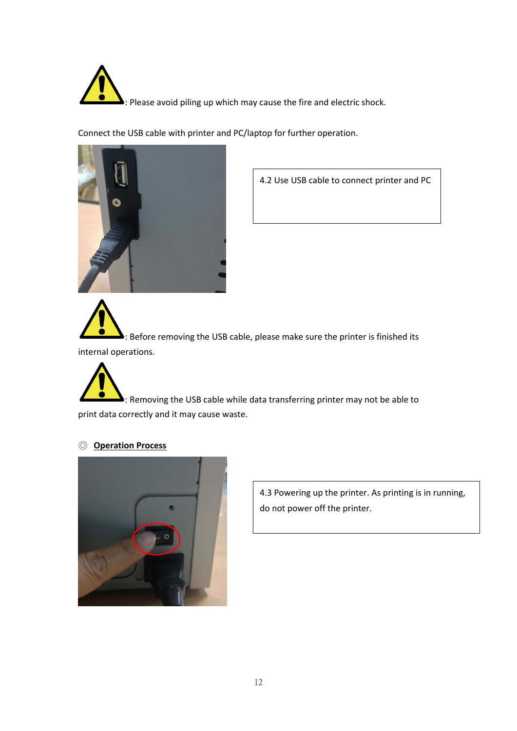

Connect the USB cable with printer and PC/laptop for further operation.



4.2 Use USB cable to connect printer and PC

 $\blacktriangleright$ : Before removing the USB cable, please make sure the printer is finished its internal operations.

: Removing the USB cable while data transferring printer may not be able to print data correctly and it may cause waste.

#### <span id="page-11-0"></span>◎ **Operation Process**



4.3 Powering up the printer. As printing is in running, do not power off the printer.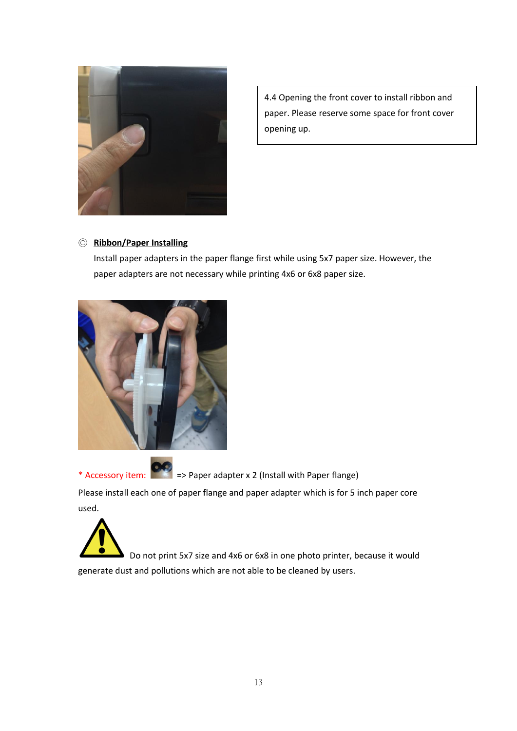

4.4 Opening the front cover to install ribbon and paper. Please reserve some space for front cover opening up.

#### <span id="page-12-0"></span>◎ **Ribbon/Paper Installing**

Install paper adapters in the paper flange first while using 5x7 paper size. However, the paper adapters are not necessary while printing 4x6 or 6x8 paper size.



\* Accessory item: => Paper adapter x 2 (Install with Paper flange)

Please install each one of paper flange and paper adapter which is for 5 inch paper core used.



Do not print 5x7 size and 4x6 or 6x8 in one photo printer, because it would generate dust and pollutions which are not able to be cleaned by users.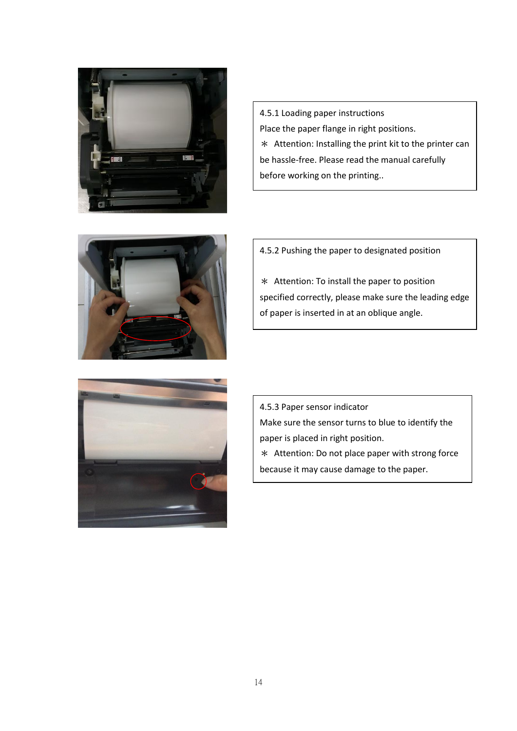

4.5.1 Loading paper instructions Place the paper flange in right positions. \* Attention: Installing the print kit to the printer can be hassle-free. Please read the manual carefully before working on the printing..



4.5.2 Pushing the paper to designated position

\* Attention: To install the paper to position specified correctly, please make sure the leading edge of paper is inserted in at an oblique angle.



4.5.3 Paper sensor indicator Make sure the sensor turns to blue to identify the paper is placed in right position. \* Attention: Do not place paper with strong force because it may cause damage to the paper.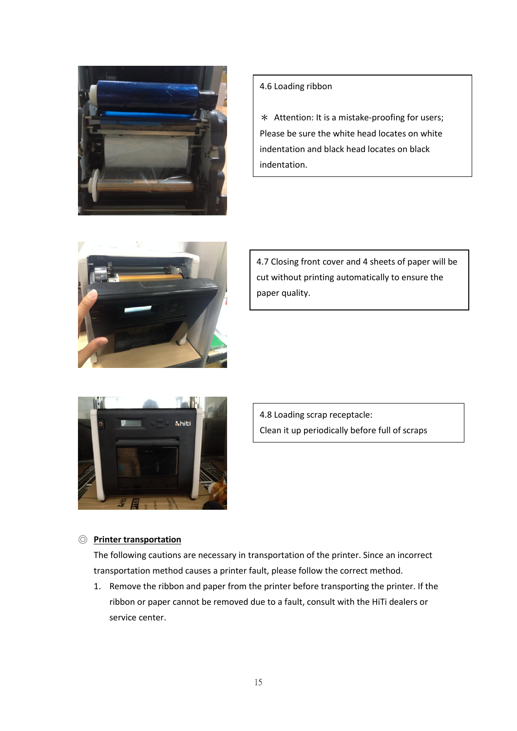



\* Attention: It is a mistake-proofing for users; Please be sure the white head locates on white indentation and black head locates on black indentation.



4.7 Closing front cover and 4 sheets of paper will be cut without printing automatically to ensure the paper quality.



4.8 Loading scrap receptacle: Clean it up periodically before full of scraps

#### <span id="page-14-0"></span>◎ **Printer transportation**

The following cautions are necessary in transportation of the printer. Since an incorrect transportation method causes a printer fault, please follow the correct method.

8

1. Remove the ribbon and paper from the printer before transporting the printer. If the ribbon or paper cannot be removed due to a fault, consult with the HiTi dealers or service center.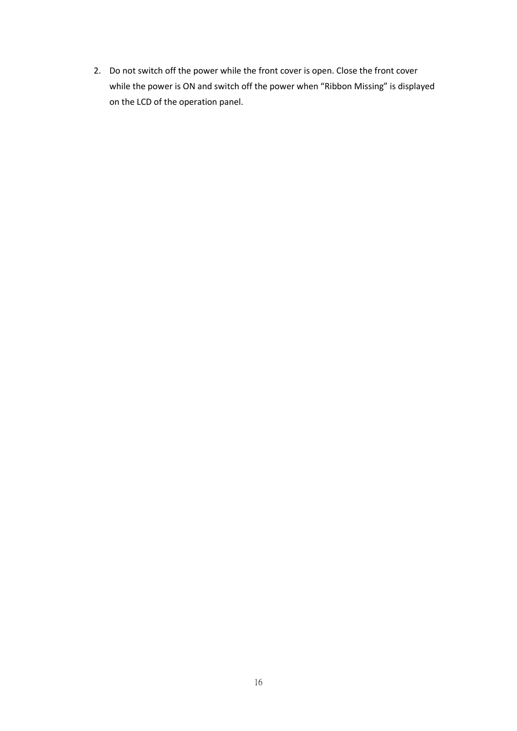<span id="page-15-0"></span>2. Do not switch off the power while the front cover is open. Close the front cover while the power is ON and switch off the power when "Ribbon Missing" is displayed on the LCD of the operation panel.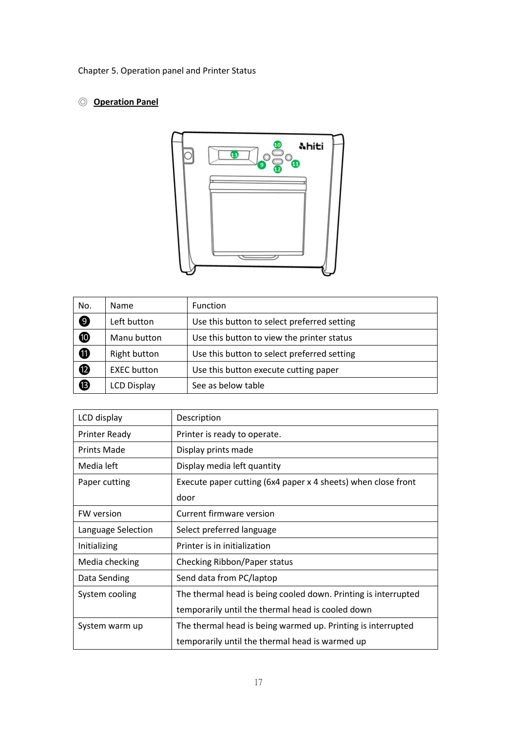Chapter 5. Operation panel and Printer Status

#### <span id="page-16-0"></span>◎ **Operation Panel**



| No.                   | <b>Name</b>        | Function                                    |
|-----------------------|--------------------|---------------------------------------------|
| $\boldsymbol{\Theta}$ | Left button        | Use this button to select preferred setting |
| $\bf \Phi$            | Manu button        | Use this button to view the printer status  |
| $\bf \Phi$            | Right button       | Use this button to select preferred setting |
| $\bf \Phi$            | <b>EXEC</b> button | Use this button execute cutting paper       |
| $\bf \Phi$            | <b>LCD Display</b> | See as below table                          |

<span id="page-16-1"></span>

| LCD display          | Description                                                    |
|----------------------|----------------------------------------------------------------|
| <b>Printer Ready</b> | Printer is ready to operate.                                   |
| <b>Prints Made</b>   | Display prints made                                            |
| Media left           | Display media left quantity                                    |
| Paper cutting        | Execute paper cutting (6x4 paper x 4 sheets) when close front  |
|                      | door                                                           |
| <b>FW</b> version    | Current firmware version                                       |
| Language Selection   | Select preferred language                                      |
| Initializing         | Printer is in initialization                                   |
| Media checking       | Checking Ribbon/Paper status                                   |
| Data Sending         | Send data from PC/laptop                                       |
| System cooling       | The thermal head is being cooled down. Printing is interrupted |
|                      | temporarily until the thermal head is cooled down              |
| System warm up       | The thermal head is being warmed up. Printing is interrupted   |
|                      | temporarily until the thermal head is warmed up                |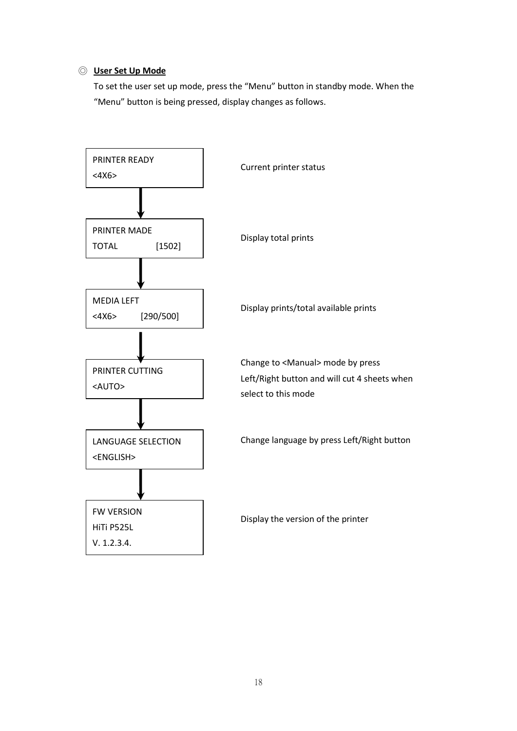#### ◎ **User Set Up Mode**

To set the user set up mode, press the "Menu" button in standby mode. When the "Menu" button is being pressed, display changes as follows.

<span id="page-17-0"></span>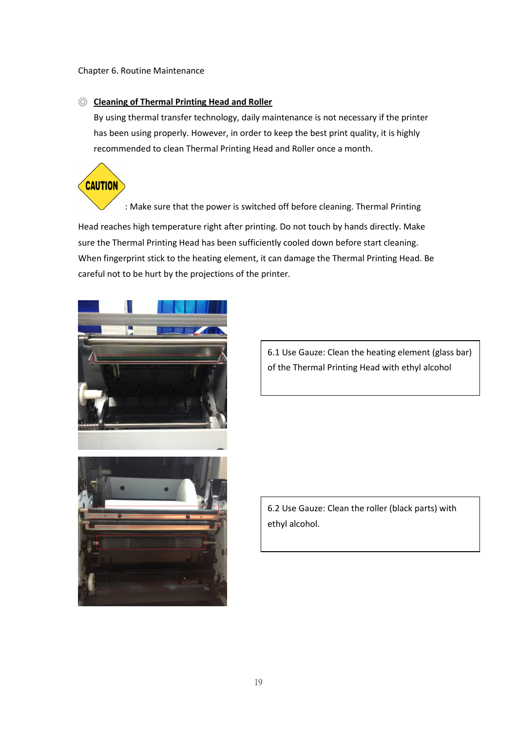#### Chapter 6. Routine Maintenance

#### <span id="page-18-0"></span>◎ **Cleaning of Thermal Printing Head and Roller**

By using thermal transfer technology, daily maintenance is not necessary if the printer has been using properly. However, in order to keep the best print quality, it is highly recommended to clean Thermal Printing Head and Roller once a month.

**CAUTION** 

: Make sure that the power is switched off before cleaning. Thermal Printing

Head reaches high temperature right after printing. Do not touch by hands directly. Make sure the Thermal Printing Head has been sufficiently cooled down before start cleaning. When fingerprint stick to the heating element, it can damage the Thermal Printing Head. Be careful not to be hurt by the projections of the printer.



6.1 Use Gauze: Clean the heating element (glass bar) of the Thermal Printing Head with ethyl alcohol

6.2 Use Gauze: Clean the roller (black parts) with ethyl alcohol.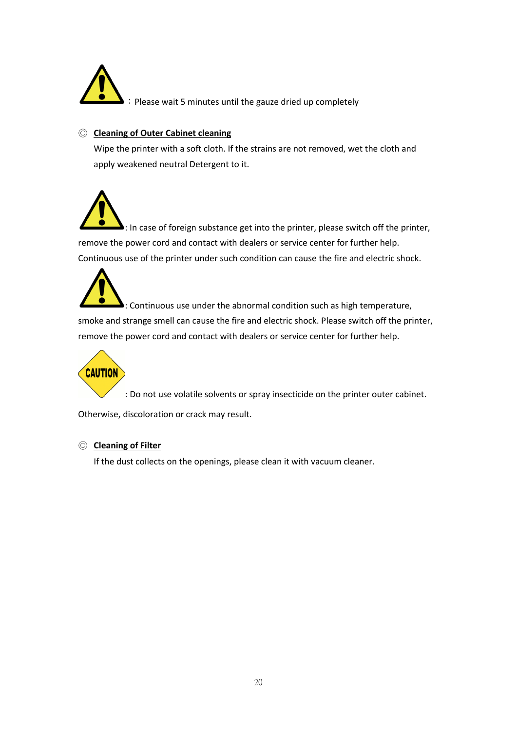

:Please wait 5 minutes until the gauze dried up completely

#### <span id="page-19-0"></span>◎ **Cleaning of Outer Cabinet cleaning**

Wipe the printer with a soft cloth. If the strains are not removed, wet the cloth and apply weakened neutral Detergent to it.

 $\blacktriangleright$ : In case of foreign substance get into the printer, please switch off the printer, remove the power cord and contact with dealers or service center for further help. Continuous use of the printer under such condition can cause the fire and electric shock.

 $\blacktriangleright$ : Continuous use under the abnormal condition such as high temperature, smoke and strange smell can cause the fire and electric shock. Please switch off the printer, remove the power cord and contact with dealers or service center for further help.



: Do not use volatile solvents or spray insecticide on the printer outer cabinet.

Otherwise, discoloration or crack may result.

#### <span id="page-19-1"></span>◎ **Cleaning of Filter**

<span id="page-19-2"></span>If the dust collects on the openings, please clean it with vacuum cleaner.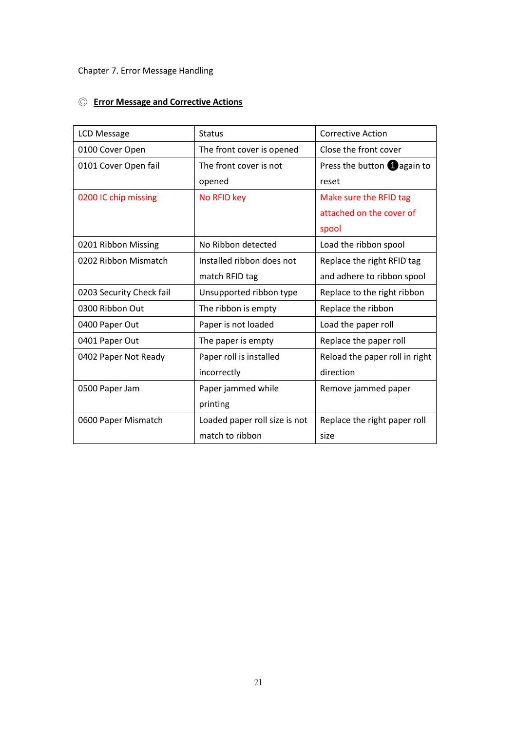#### Chapter 7. Error Message Handling

#### <span id="page-20-0"></span>◎ **Error Message and Corrective Actions**

<span id="page-20-1"></span>

| LCD Message              | <b>Status</b>                 | <b>Corrective Action</b>              |
|--------------------------|-------------------------------|---------------------------------------|
| 0100 Cover Open          | The front cover is opened     | Close the front cover                 |
| 0101 Cover Open fail     | The front cover is not        | Press the button $\bigoplus$ again to |
|                          | opened                        | reset                                 |
| 0200 IC chip missing     | No RFID key                   | Make sure the RFID tag                |
|                          |                               | attached on the cover of              |
|                          |                               | spool                                 |
| 0201 Ribbon Missing      | No Ribbon detected            | Load the ribbon spool                 |
| 0202 Ribbon Mismatch     | Installed ribbon does not     | Replace the right RFID tag            |
|                          | match RFID tag                | and adhere to ribbon spool            |
| 0203 Security Check fail | Unsupported ribbon type       | Replace to the right ribbon           |
| 0300 Ribbon Out          | The ribbon is empty           | Replace the ribbon                    |
| 0400 Paper Out           | Paper is not loaded           | Load the paper roll                   |
| 0401 Paper Out           | The paper is empty            | Replace the paper roll                |
| 0402 Paper Not Ready     | Paper roll is installed       | Reload the paper roll in right        |
|                          | incorrectly                   | direction                             |
| 0500 Paper Jam           | Paper jammed while            | Remove jammed paper                   |
|                          | printing                      |                                       |
| 0600 Paper Mismatch      | Loaded paper roll size is not | Replace the right paper roll          |
|                          | match to ribbon               | size                                  |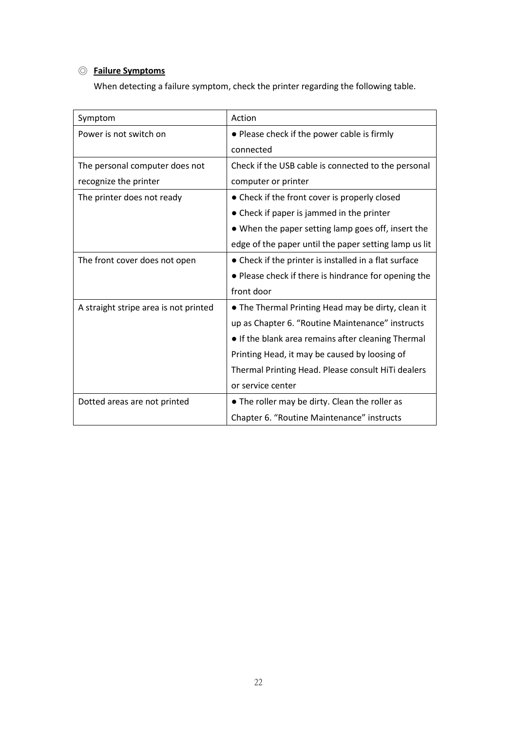#### ◎ **Failure Symptoms**

When detecting a failure symptom, check the printer regarding the following table.

<span id="page-21-0"></span>

| Symptom                               | Action                                                |
|---------------------------------------|-------------------------------------------------------|
| Power is not switch on                | • Please check if the power cable is firmly           |
|                                       | connected                                             |
| The personal computer does not        | Check if the USB cable is connected to the personal   |
| recognize the printer                 | computer or printer                                   |
| The printer does not ready            | • Check if the front cover is properly closed         |
|                                       | • Check if paper is jammed in the printer             |
|                                       | • When the paper setting lamp goes off, insert the    |
|                                       | edge of the paper until the paper setting lamp us lit |
| The front cover does not open         | • Check if the printer is installed in a flat surface |
|                                       | • Please check if there is hindrance for opening the  |
|                                       | front door                                            |
| A straight stripe area is not printed | . The Thermal Printing Head may be dirty, clean it    |
|                                       | up as Chapter 6. "Routine Maintenance" instructs      |
|                                       | • If the blank area remains after cleaning Thermal    |
|                                       | Printing Head, it may be caused by loosing of         |
|                                       | Thermal Printing Head. Please consult HiTi dealers    |
|                                       | or service center                                     |
| Dotted areas are not printed          | . The roller may be dirty. Clean the roller as        |
|                                       | Chapter 6. "Routine Maintenance" instructs            |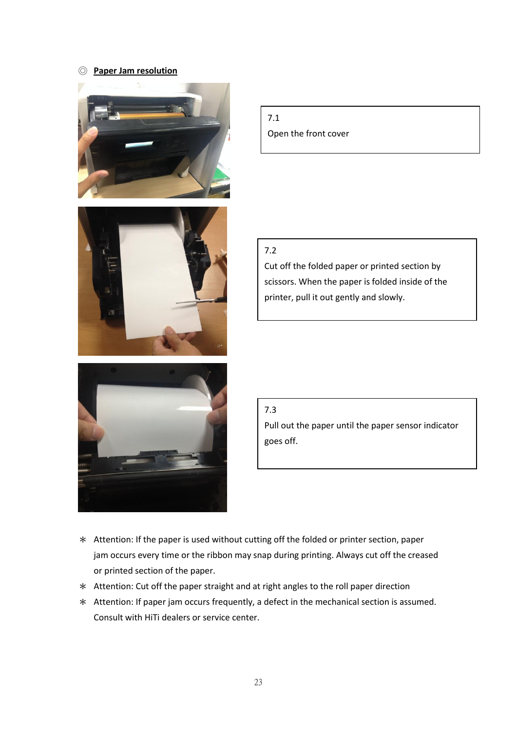#### ◎ **Paper Jam resolution**







7.1 Open the front cover

#### 7.2

Cut off the folded paper or printed section by scissors. When the paper is folded inside of the printer, pull it out gently and slowly.

#### 7.3

Pull out the paper until the paper sensor indicator goes off.

- \* Attention: If the paper is used without cutting off the folded or printer section, paper jam occurs every time or the ribbon may snap during printing. Always cut off the creased or printed section of the paper.
- \* Attention: Cut off the paper straight and at right angles to the roll paper direction
- <span id="page-22-0"></span>\* Attention: If paper jam occurs frequently, a defect in the mechanical section is assumed. Consult with HiTi dealers or service center.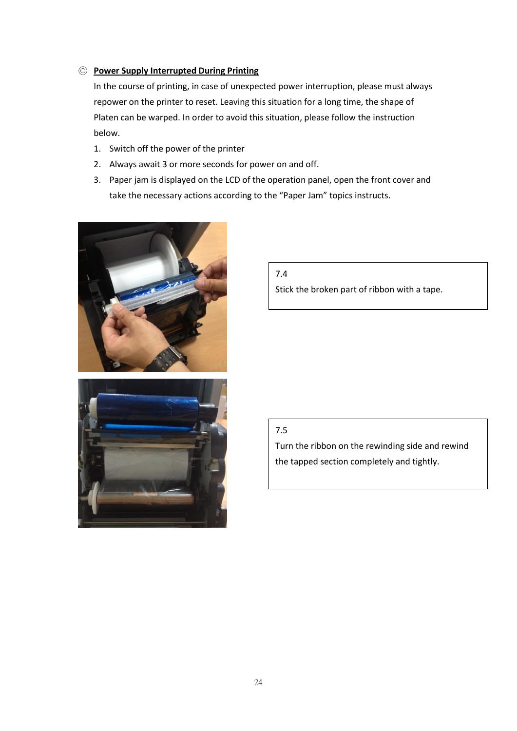#### ◎ **Power Supply Interrupted During Printing**

In the course of printing, in case of unexpected power interruption, please must always repower on the printer to reset. Leaving this situation for a long time, the shape of Platen can be warped. In order to avoid this situation, please follow the instruction below.

- 1. Switch off the power of the printer
- 2. Always await 3 or more seconds for power on and off.
- 3. Paper jam is displayed on the LCD of the operation panel, open the front cover and take the necessary actions according to the "Paper Jam" topics instructs.



<span id="page-23-0"></span>

7.4

Stick the broken part of ribbon with a tape.

#### 7.5

Turn the ribbon on the rewinding side and rewind the tapped section completely and tightly.